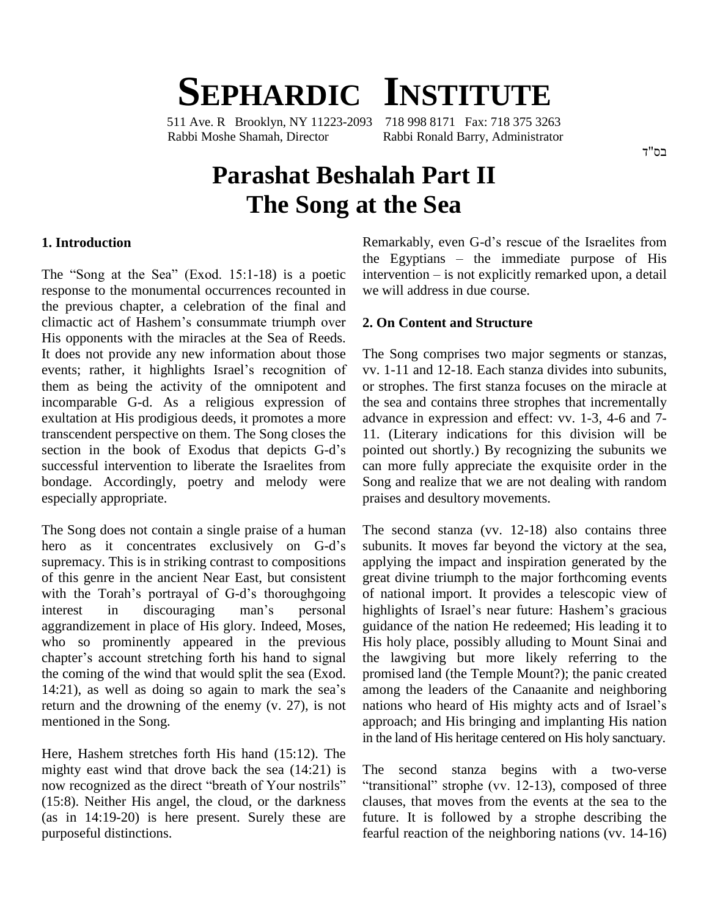# **SEPHARDIC INSTITUTE**

511 Ave. R Brooklyn, NY 11223-2093 718 998 8171 Fax: 718 375 3263 Rabbi Moshe Shamah, Director Rabbi Ronald Barry, Administrator

# **Parashat Beshalah Part II The Song at the Sea**

#### **1. Introduction**

response to the monumental occurrences recounted in the previous chapter, a celebration of the final and response to the monumental occurrences recounted in we<br>the previous chapter, a celebration of the final and<br>climactic act of Hashem's consummate triumph over 2. His opponents with the miracles at the Sea of Reeds. It does not provide any new information about those The 3 His opponents with the miracles at the Sea of Reeds.<br>It does not provide any new information about those The<br>events; rather, it highlights Israel's recognition of vv. them as being the activity of the omnipotent and incomparable G-d. As a religious expression of exultation at His prodigious deeds, it promotes a more transcendent perspective on them. The Song closes the exultation at His prodigious deeds, it promotes a more<br>transcendent perspective on them. The Song closes the 11.<br>section in the book of Exodus that depicts G-d's poin successful intervention to liberate the Israelites from bondage. Accordingly, poetry and melody were especially appropriate.

The Song does not contain a single praise of a human The s The Song does not contain a single praise of a human The<br>hero as it concentrates exclusively on G-d's subt supremacy. This is in striking contrast to compositions applyi<br>of this genre in the ancient Near East, but consistent great of<br>with the Torah's portrayal of G-d's thoroughgoing of nat of this genre in the ancient Near East, but consistent with the Torah's portrayal of G-d's thoroughgoing of national import. It provides a telescopic view of interest in discouraging man's personal highlights of Israel's near future: Hashem's gracious aggrandizement in place of His glory. Indeed, Moses, guide to so prominently appeared in the previous His chapter's account stretching forth his hand to signal who so prominently appeared in the previous the coming of the wind that would split the sea (Exod. chapter's account stretching forth his hand to signal the<br>the coming of the wind that would split the sea (Exod. pror<br>14:21), as well as doing so again to mark the sea's amo return and the drowning of the enemy  $(v. 27)$ , is not nations who heard of His mighty acts and of Israel's mentioned in the Song.

Here, Hashem stretches forth His hand (15:12). The mighty east wind that drove back the sea (14:21) is now recognized as the direct "breath of Your nostrils" (15:8). Neither His angel, the cloud, or the darkness (as in 14:19-20) is here present. Surely these are purposeful distinctions.

The "Song at the Sea" (Exod. 15:1-18) is a poetic intervention – is not explicitly remarked upon, a detail Remarkably, even G-d's rescue of the Israelites from Remarkably, even G-d's rescue of the Israelites from<br>the Egyptians – the immediate purpose of His Remarkably, even G-d's rescue of the Israelites from<br>the Egyptians – the immediate purpose of His<br>intervention – is not explicitly remarked upon, a detail we will address in due course.

#### **2. On Content and Structure**

The Song comprises two major segments or stanzas, vv. 1-11 and 12-18. Each stanza divides into subunits, or strophes. The first stanza focuses on the miracle at the sea and contains three strophes that incrementally advance in expression and effect: vv. 1-3, 4-6 and 7- 11. (Literary indications for this division will be pointed out shortly.) By recognizing the subunits we can more fully appreciate the exquisite order in the Song and realize that we are not dealing with random praises and desultory movements.

The second stanza (vv. 12-18) also contains three subunits. It moves far beyond the victory at the sea, applying the impact and inspiration generated by the great divine triumph to the major forthcoming events of national import. It provides a telescopic view of great divine triumph to the major forthcoming events<br>of national import. It provides a telescopic view of<br>highlights of Israel's near future: Hashem's gracious guidance of the nation He redeemed; His leading it to His holy place, possibly alluding to Mount Sinai and the lawgiving but more likely referring to the promised land (the Temple Mount?); the panic created<br>among the leaders of the Canaanite and neighboring<br>nations who heard of His mighty acts and of Israel's among the leaders of the Canaanite and neighboring approach; and His bringing and implanting His nation in the land of His heritage centered on His holy sanctuary.

The second stanza begins with a two-verse "transitional" strophe (vv.  $12-13$ ), composed of three clauses, that moves from the events at the sea to the future. It is followed by a strophe describing the fearful reaction of the neighboring nations (vv. 14-16)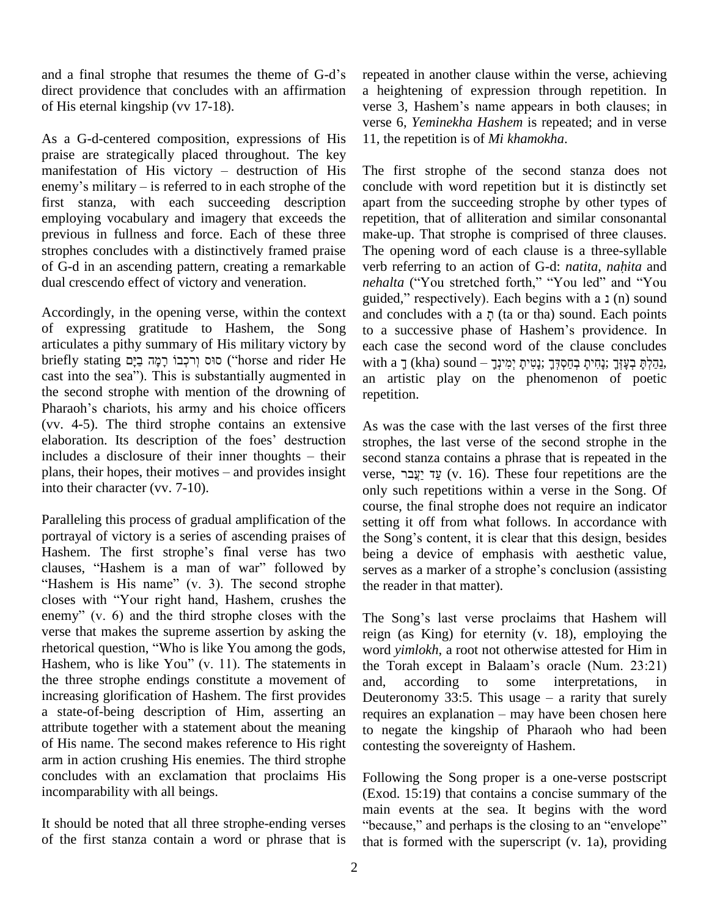and a final strophe that resumes the theme of G-d's direct providence that concludes with an affirmation of His eternal kingship (vv 17-18).

As a G-d-centered composition, expressions of His praise are strategically placed throughout. The key As a G-d-centered composition, expressions of His 11, the praise are strategically placed throughout. The key manifestation of His victory – destruction of His The praise are strategically placed throughout. The key<br>manifestation of His victory – destruction of His The<br>enemy's military – is referred to in each strophe of the concl first stanza, with each succeeding description employing vocabulary and imagery that exceeds the previous in fullness and force. Each of these three strophes concludes with a distinctively framed praise of G-d in an ascending pattern, creating a remarkable dual crescendo effect of victory and veneration.

Accordingly, in the opening verse, within the context of expressing gratitude to Hashem, the Song articulates a pithy summary of His military victory by of expressing gratitude to Hashem, the Song to a articulates a pithy summary of His military victory by each briefly stating propriection of the with  $\frac{1}{2}$  or (יִרְבְּנוֹ רְמָה בַיָּם ("horse and rider He with articulates a pithy summary of His military victory by<br>briefly stating סוּס וְרכְבוֹ רָמָה בַיָּם ("horse and rider He with a<br>cast into the sea"). This is substantially augmented in an an the second strophe with mention of the drowning of briefly stating בְּהֻלֹּתְּ בְּצָה בַּיָם ("horse and rider He with a ךְ (kha) sound – נְבָקוֹדְ יָנָחִיתָ בְחַסְדְּךָ יָנָחִיתָ בְחַסְדְּךָ יָנָחִיתָ בְחַסְדְּךָ יִצְחִיתָ בְחַסְדְּךָ יִצְחִיתָ בְחַסְדְּךָ יִצְחוֹי an ar (vv. 4-5). The third strophe contains an extensive Pharaoh's chariots, his army and his choice officers<br>(vv. 4-5). The third strophe contains an extensive As was<br>elaboration. Its description of the foes' destruction stroph (vv. 4-5). The third strophe contains an extensive As elaboration. Its description of the foes' destruction strong includes a disclosure of their inner thoughts – their sec elaboration. Its description of the foes' destruction<br>includes a disclosure of their inner thoughts – their<br>plans, their hopes, their motives – and provides insight into their character (vv. 7-10).

Paralleling this process of gradual amplification of the setting<br>portrayal of victory is a series of ascending praises of the Sc<br>Hashem. The first strophe's final verse has two being portrayal of victory is a series of ascending praises of the Song's content, it is clear that this design, besides portrayal of victory is a series of ascending praises of the Sc<br>Hashem. The first strophe's final verse has two being<br>clauses, "Hashem is a man of war" followed by serves Hashem. The first strophe's final verse has two The first strophe's final verse has two being<br>Hashem is a man of war" followed by serve<br>is His name" (v. 3). The second strophe the reclauses, "Hashem is a man of war" followed by serve<br>"Hashem is His name" (v. 3). The second strophe the recloses with "Your right hand, Hashem, crushes the "Hashem is His name" (v. 3). The second strophe the recloses with "Your right hand, Hashem, crushes the enemy" (v. 6) and the third strophe closes with the The verse that makes the supreme assertion by asking the enemy" (v. 6) and the third strophe closes with the T<br>verse that makes the supreme assertion by asking the re-<br>rhetorical question, "Who is like You among the gods, w verse that makes the supreme assertion by asking the reign<br>rhetorical question, "Who is like You among the gods, word y<br>Hashem, who is like You" (v. 11). The statements in the To the three strophe endings constitute a movement of and, increasing glorification of Hashem. The first provides a state-of-being description of Him, asserting an requires an explanation – may have been chosen here attribute together with a statement about the meaning of His name. The second makes reference to His right arm in action crushing His enemies. The third strophe concludes with an exclamation that proclaims His incomparability with all beings.

It should be noted that all three strophe-ending verses "because," and perhaps is the closing to an "envelope" of the first stanza contain a word or phrase that is

repeated in another clause within the verse, achieving a heightening of expression through repetition. In repeated in another clause within the verse, achieving<br>a heightening of expression through repetition. In<br>verse 3, Hashem's name appears in both clauses; in verse 6, *Yeminekha Hashem* is repeated; and in verse 11, the repetition is of *Mi khamokha*.

The first strophe of the second stanza does not conclude with word repetition but it is distinctly set apart from the succeeding strophe by other types of repetition, that of alliteration and similar consonantal make-up. That strophe is comprised of three clauses. The opening word of each clause is a three-syllable verb referring to an action of G-d: *natita*, *nahita* and The opening word of each clause is a three-syllable<br>verb referring to an action of G-d: *natita*, *nahita* and<br>*nehalta* ("You stretched forth," "You led" and "You verb referring to an action of G-d: *natita*, *nahita* and *nehalta* ("You stretched forth," "You led" and "You guided," respectively). Each begins with a  $\text{i}$  (n) sound rehalta ("You stretched forth," "You led" and "You guided," respectively). Each begins with a 1 (n) sound and concludes with a  $\bar{p}$  (ta or tha) sound. Each points guided," respectively). Each begins with a 1 (n) sound<br>and concludes with a  $\bar{\rho}$  (ta or tha) sound. Each points<br>to a successive phase of Hashem's providence. In each case the second word of the clause concludes to a successive phase of Hashem's providence. In each case the second word of the clause concludes with a ךְּהֵלְא יִצְוּךָ יָנָחִיתָ בְחַסְדְּךָ an artistic play on the phenomenon of poetic repetition.

As was the case with the last verses of the first three strophes, the last verse of the second strophe in the second stanza contains a phrase that is repeated in the verse,  $\frac{v}{27}$  (v. 16). These four repetitions are the second stanza contains a phrase that is repeated in the only such repetitions within a verse in the Song. Of course, the final strophe does not require an indicator<br>setting it off from what follows. In accordance with<br>the Song's content, it is clear that this design, besides setting it off from what follows. In accordance with being a device of emphasis with aesthetic value, the Song's content, it is clear that this design, besides<br>being a device of emphasis with aesthetic value,<br>serves as a marker of a strophe's conclusion (assisting the reader in that matter).

The Song's last verse proclaims that Hashem will reign (as King) for eternity (v. 18), employing the word *yimlokh*, a root not otherwise attested for Him in the Torah except in Balaam's oracle (Num. 23:21) word *yimlokh*, a root not otherwise attested for Him in according to some interpretations, in the Torah except in Balaam's oracle (Num. 23:21)<br>and, according to some interpretations, in<br>Deuteronomy 33:5. This usage – a rarity that surely and, according to some interpretations, in<br>Deuteronomy 33:5. This usage – a rarity that surely<br>requires an explanation – may have been chosen here to negate the kingship of Pharaoh who had been contesting the sovereignty of Hashem.

Following the Song proper is a one-verse postscript (Exod. 15:19) that contains a concise summary of the main events at the sea. It begins with the word "because." and perhaps is the closing to an "envelope" main events at the sea. It begins with the word that is formed with the superscript (v. 1a), providing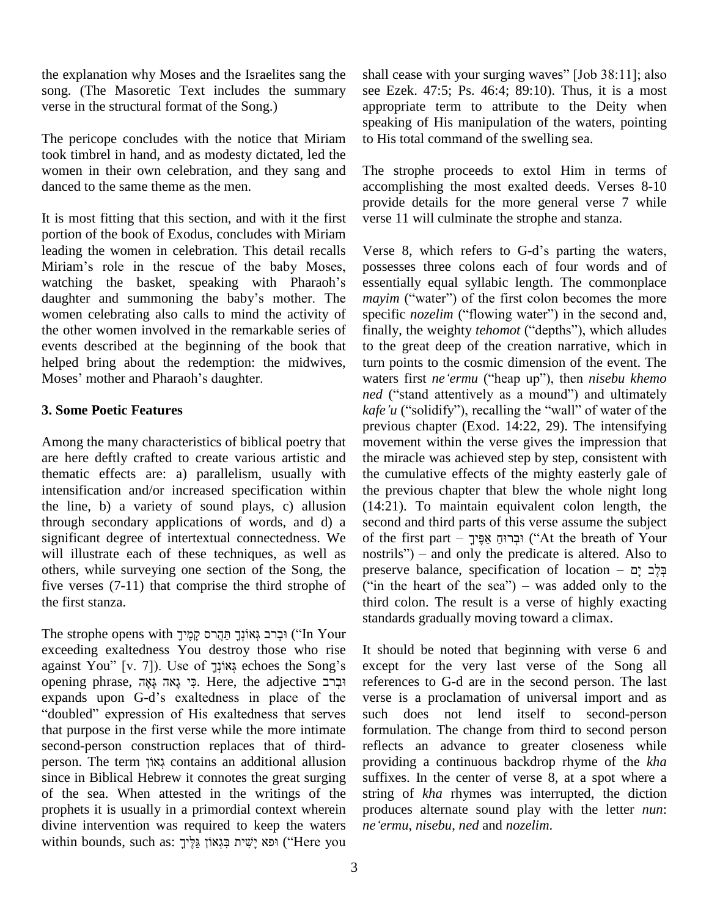the explanation why Moses and the Israelites sang the song. (The Masoretic Text includes the summary verse in the structural format of the Song.)

The pericope concludes with the notice that Miriam took timbrel in hand, and as modesty dictated, led the women in their own celebration, and they sang and danced to the same theme as the men.

It is most fitting that this section, and with it the first portion of the book of Exodus, concludes with Miriam<br>leading the women in celebration. This detail recalls Verse 8, v<br>Miriam's role in the rescue of the baby Moses, possesses t leading the women in celebration. This detail recalls Miriam's role in the rescue of the baby Moses, watching the basket, speaking with Pharaoh's daughter and summoning the baby's mother. The *mayim* ("water") of the first colon becomes the more women celebrating also calls to mind the activity of specific *nozelim* ("flowing water") in the second and, the other women involved in the remarkable series of events described at the beginning of the book that to helped bring about the redemption: the midwives, tu Moses' mother and Pharaoh's daughter. helped bring about the redemption: the midwives,

### **3. Some Poetic Features**

Among the many characteristics of biblical poetry that are here deftly crafted to create various artistic and thematic effects are: a) parallelism, usually with intensification and/or increased specification within the line, b) a variety of sound plays, c) allusion through secondary applications of words, and d) a significant degree of intertextual connectedness. We will illustrate each of these techniques, as well as nostrils") – and only the predicate is altered. Also to others, while surveying one section of the Song, the preserve balance, specification of location  $\frac{1}{2}$ five verses (7-11) that comprise the third strophe of the first stanza.

The strophe opens with יִבְרֹב גְּאוֹנְךָ תֲּקֵרֹס קַמֵּיֹךָ (in Your exceeding exaltedness You destroy those who rise The strophe opens with וּבְרֹב גְּאוֹנְךָ תַּהֲרֹס קָמֶיֹךָ ("In Your")<br>exceeding exaltedness You destroy those who rise It sl<br>against You" [v. 7]). Use of גְּאוֹנְךָ echoes the Song's exce opening exaltedness You destroy those who rise It against You" [v. 7]). Use of *א*וֹנְךָ<br>echoes the Song's exopening phrase, וִכְּר נָאָה גָּאָה בָּאָה בָּאָה (Here, the adjective יִבְרב against You" [v. 7]). Use of גֹּאוֹנְךָ echoes the Song's opening phrase, גְּאָה גָּאָה בְּאָה echoes the Song's pening phrase, כִּי גָאה בְּאָה opening phrase, וּבְרֹב Here, the adjective וּבְרֹב refes expands upon G-d's exaltedness in place of the vers<br>"doubled" expression of His exaltedness that serves such that purpose in the first verse while the more intimate formu second-person construction replaces that of third-reflect person. The term אֲצוֹךְ contains an additional allusion provid second-person construction replaces that of third since in Biblical Hebrew it connotes the great surging of the sea. When attested in the writings of the prophets it is usually in a primordial context wherein divine intervention was required to keep the waters ne'e prophets it is usually in a primordial context wherein productivine intervention was required to keep the waters *ne'ern* within bounds, such as: יָשִׁיח בְּגָאוֹן גַּלָּיךָ

shall cease with your surging waves"  $[Job 38:11]$ ; also see Ezek. 47:5; Ps. 46:4; 89:10). Thus, it is a most appropriate term to attribute to the Deity when speaking of His manipulation of the waters, pointing to His total command of the swelling sea.

The strophe proceeds to extol Him in terms of accomplishing the most exalted deeds. Verses 8-10 provide details for the more general verse 7 while verse 11 will culminate the strophe and stanza.

Verse 8, which refers to G-d's parting the waters, possesses three colons each of four words and of essentially equal syllabic length. The commonplace possesses three colons each of four words and of essentially equal syllabic length. The commonplace *mayim* ("water") of the first colon becomes the more essentially equal syllabic length. The commonplace *mayim* ("water") of the first colon becomes the more specific *nozelim* ("flowing water") in the second and, finally, the weighty *tehomot* ("depths"), which alludes to the great deep of the creation narrative, which in turn points to the cosmic dimension of the event. The to the great deep of the creation narrative, which in turn points to the cosmic dimension of the event. The waters first *ne* 'ermu ("heap up"), then *nisebu khemo turn points to the cosmic dimension of the event. The waters first <i>ne'ermu* ("heap up"), then *nisebu khemo ned* ("stand attentively as a mound") and ultimately *ned* ("stand attentively as a mound") and ultimately *kafe* '*u* ("solidify"), recalling the "wall" of water of the previous chapter (Exod. 14:22, 29). The intensifying movement within the verse gives the impression that the miracle was achieved step by step, consistent with the cumulative effects of the mighty easterly gale of the previous chapter that blew the whole night long (14:21). To maintain equivalent colon length, the second and third parts of this verse assume the subject of the first parts of this verse assume the subject<br>of the first part – הַבְּרוּחַ אַפֶּיךָ<br>הַבְרוּחַ אֲפֶיךָ ('At the breath of Your second and third parts of this verse assume the subject<br>of the first part – וּבְרוּחַ אַפֶּיךָ<br>) – and only the predicate is altered. Also to of the first part – וִּבְרוּחָ אֲפֶּיךָ ("At the breath of Your nostrils") – and only the predicate is altered. Also to preserve balance, specification of location – בְּלֶב יָם ("in the heart of the sea") – was added only to the third colon. The result is a verse of highly exacting standards gradually moving toward a climax.

It should be noted that beginning with verse 6 and except for the very last verse of the Song all references to G-d are in the second person. The last verse is a proclamation of universal import and as such does not lend itself to second-person formulation. The change from third to second person reflects an advance to greater closeness while providing a continuous backdrop rhyme of the *kha* suffixes. In the center of verse 8, at a spot where a string of *kha* rhymes was interrupted, the diction *neëermu*, *nisebu*, *ned* and *nozelim*.produces alternate sound play with the letter *nun*: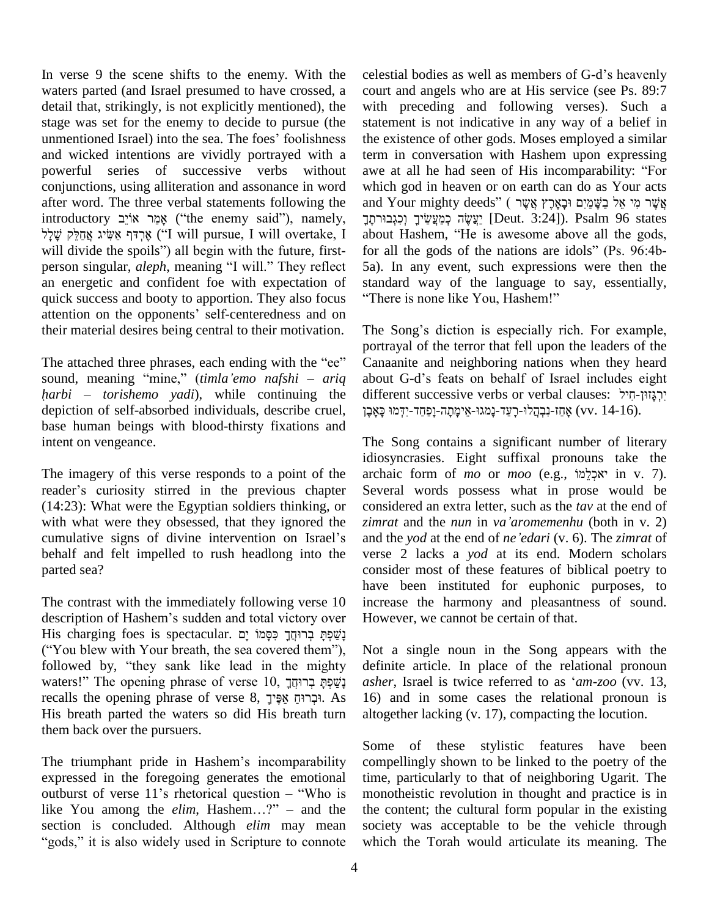In verse 9 the scene shifts to the enemy. With the waters parted (and Israel presumed to have crossed, a detail that, strikingly, is not explicitly mentioned), the with stage was set for the enemy to decide to pursue (the stater unmentioned Israel) into the sea. The foes' foolishness the exaction stage was set for the enemy to decide to pursue (the and wicked intentions are vividly portrayed with a powerful series of successive verbs without awe at all he had seen of His incomparability: "For conjunctions, using alliteration and assonance in word after word. The three verbal statements following the introductory אמר אויב ("the enemy said"), namely, יַעֲשֶׂה כְּמַעֲשׂיִךְ (נִגְבוּרְחֵךְיִה [Deut. 3:24]). Psalm 96 states word. The three verbal statements following the and<br>
לְּמֵר אוֹיָב ("the enemy said"), namely, הָרָךְ אֵשִׂיג אֲהַלֵּק ("the enemy said"), namely, אֲהִי יתֶךְ יוֹב ("the enemy said"), namely, רְחֶךָ יוֹב ("the enemy said"), namely, רֹחֲךָ יוֹצְקוֹ<br>אֶרְדּף אֲשִׂיג אֲחַלֵּק שָׁלָל ("I will pursue, I will overtake, I abd will divide the spoils") all begin with the future, fi אָרְדּף אַשִּׂיג אֲחַלֵּק שָׁלָל (I will pursue, I will overtake, I ab will divide the spoils") all begin with the future, first-<br>person singular, *aleph*, meaning "I will." They reflect 5a an energetic and confident foe with expectation of quick success and booty to apportion. They also focus "There is none like You, Hashem!" attention on the opponents' self-centeredness and on their material desires being central to their motivation.

The attached three phrases, each ending with the "ee" portra<br>The attached three phrases, each ending with the "ee" Canaa<br>sound, meaning "mine," (*timla 'emo nafshi* – *ariq* about The attached three phrases, each ending with the "ee" Cana sound, meaning "mine," *(timla 'emo nafshi – ariq* about *harbi – torishemo yadi*), while continuing the differ depiction of self-absorbed individuals, describe cruel, וְבָהֲלוּ-רָעֲד-נָמְגוּ-אֱימָתָה-וָפַחֲד-יִדְמוּ כָּאָבֶ base human beings with blood-thirsty fixations and intent on vengeance.

The imagery of this verse responds to a point of the reader's curiosity stirred in the previous chapter (14:23): What were the Egyptian soldiers thinking, or with what were they obsessed, that they ignored the *zimrat* and the *nun* in va'aromementu (both in v. 2) cumulative signs of divine intervention on Israel's behalf and felt impelled to rush headlong into the parted sea?

The contrast with the immediately following verse 10 increa hav<br>The contrast with the immediately following verse 10 inc<br>description of Hashem's sudden and total victory over Ho His charging foes is spectacular. ʭʕʩ ˣʮ˛ʕ˗ʑ ʪʕʧʏ˒ʸʡʍ ˢʕʴʍˇʔʕʰ description of Hashem's sudden and total victory over<br>His charging foes is spectacular. בְּשֵׁפְּתָּ בְּרוּחֲךָ כִּסְמוֹ יָם<br>(''You blew with Your breath, the sea covered them''), N His charging foes is spectacular. בְשַׁכְּתָּ בְרוּחֲךָ כִּסְמוֹ יָם<br>("You blew with Your breath, the sea covered them"), Not a<br>followed by, "they sank like lead in the mighty definit We with Your breath, the sea covered them"), No<br>followed by, "they sank like lead in the mighty deswaters!" The opening phrase of verse  $10$ , תְרוּחֲל *asi* followed by, "they sank like lead in the mighty definguaters!" The opening phrase of verse  $10$ , תְּבְרוּחֲ  $ash$  ashe recalls the opening phrase of verse  $8$ , הִבְּרוּחַ אֵפִּיךָ His breath parted the waters so did His breath turn them back over the pursuers.

The triumphant pride in Hashem's incomparability expressed in the foregoing generates the emotional The triumphant pride in Hashem's incomparability com<br>expressed in the foregoing generates the emotional time<br>outburst of verse 11's rhetorical question – "Who is mon expressed in the foregoing generates the emotional time,<br>outburst of verse 11's rhetorical question – "Who is mond<br>like You among the *elim*, Hashem...?" – and the the c section is concluded. Although *elim* may mean like You among the *elim*, Hashem...?" – and the the c<br>section is concluded. Although *elim* may mean socie<br>"gods." it is also widely used in Scripture to connote which

celestial bodies as well as members of G-d's heavenly court and angels who are at His service (see Ps. 89:7 with preceding and following verses). Such a statement is not indicative in any way of a belief in the existence of other gods. Moses employed a similar<br>term in conversation with Hashem upon expressing<br>awe at all he had seen of His incomparability: "For term in conversation with Hashem upon expressing which god in heaven or on earth can do as Your acts awe at all he had seen of His incomparability: "For<br>which god in heaven or on earth can do as Your acts<br>אֲשֶׁר מִי אֵל בַשָּׁמַיָם וּבָאָרֶץ אֲשֶר (אֲשֶׁר מֵי אֵל בַשָּׁמַיָּם ו d in heaven or on earth can do as Your acts<br>• אֲשֶׁר מִי אֵל בַשָּׁמַיִם וּבָאָרֶץ אֲשֶׁר ) (שַׁאֲד מִי אֵל בַשָּׁמַיִם וּבָאָרָץ (Deut. 3:24]). Psalm 96 states and Your mighty deeds" (אָשֶׁר מִי אֵל בַשֶּׁמַיִם וּבָאָרֶץ אֲשֶׁר<br>יַצְשֶׂה כְּמַעֲשֵׂיךָ וְכִגְבוּרתֶךְ [Deut. 3:24]). Psalm 96 states<br>about Hashem, "He is awesome above all the gods, about Hashem, "He is awesome above all the gods, for all the gods of the nations are idols" (Ps. 96:4b-5a). In any event, such expressions were then the 5a). In any event, such expressions were then the standard way of the language to say, essentially, "There is none like You, Hashem!"

The Song's diction is especially rich. For example, portrayal of the terror that fell upon the leaders of the Canaanite and neighboring nations when they heard portrayal of the terror that fell upon the leaders of the<br>Canaanite and neighboring nations when they heard<br>about G-d's feats on behalf of Israel includes eight Canaanite and neighboring nations when they heard<br>about G-d's feats on behalf of Israel includes eight<br>יִרְגָּזוּן-חִיל: t G-d's feats on behalf of Israel includes eight rent successive verbs or verbal clauses: יִרְגָּזוּן-חִיל<br>יִרְגָּזוּן-חִיל (vv. 14-16).

The Song contains a significant number of literary idiosyncrasies. Eight suffixal pronouns take the archaic form of *mo* or *moo* (e.g., אִבְלֵמוֹ in v. 7). Several words possess what in prose would be *zimrat* and the *nun* in *vaíaromemenhu* (both in v. 2) considered an extra letter, such as the *tav* at the end of and the *yod* at the end of *neíedari* (v. 6). The *zimrat* of verse 2 lacks a *yod* at its end. Modern scholars consider most of these features of biblical poetry to have been instituted for euphonic purposes, to increase the harmony and pleasantness of sound. However, we cannot be certain of that.

Not a single noun in the Song appears with the definite article. In place of the relational pronoun Not a single noun in the Song appears with the definite article. In place of the relational pronoun *asher*, Israel is twice referred to as *'am-zoo* (vv. 13, 16) and in some cases the relational pronoun is altogether lacking (v. 17), compacting the locution.

Some of these stylistic features have been compellingly shown to be linked to the poetry of the time, particularly to that of neighboring Ugarit. The monotheistic revolution in thought and practice is in the content; the cultural form popular in the existing society was acceptable to be the vehicle through which the Torah would articulate its meaning. The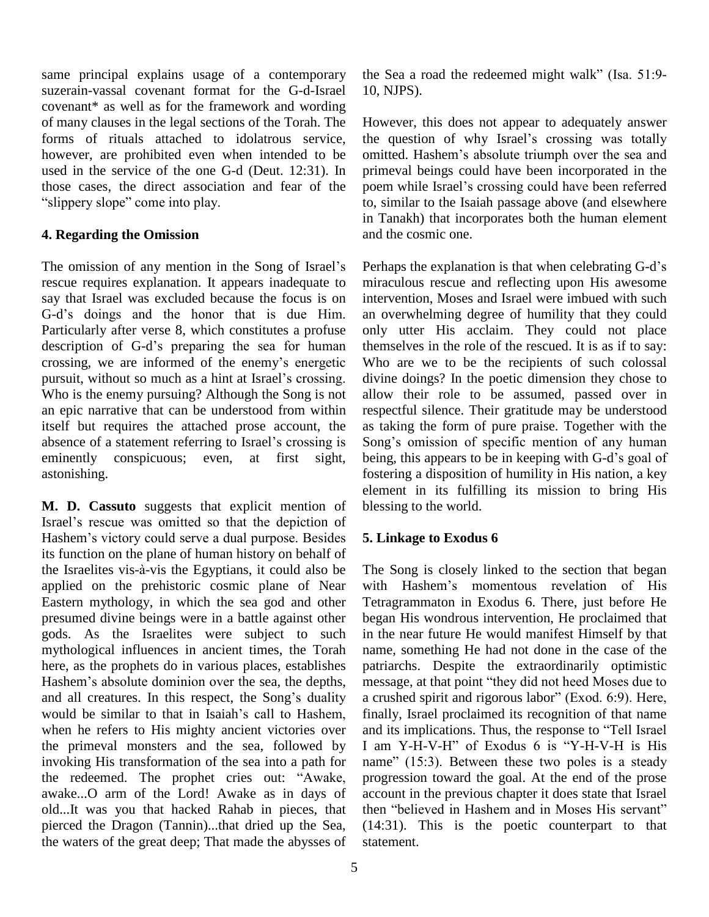same principal explains usage of a contemporary suzerain-vassal covenant format for the G-d-Israel covenant\* as well as for the framework and wording of many clauses in the legal sections of the Torah. The forms of rituals attached to idolatrous service, however, are prohibited even when intended to be omitted. Hashem's absolute triumph over the sea and used in the service of the one G-d (Deut. 12:31). In prime those cases, the direct association and fear of the slope is the one G-d<br>es, the direct association<br>slope" come into play.

### **4. Regarding the Omission**

The omission of any mention in the Song of Israel's rescue requires explanation. It appears inadequate to miracus say that Israel was excluded because the focus is on intervent G-d's doings and the honor that is due Him. an over say that Israel was excluded because the focus is on Particularly after verse 8, which constitutes a profuse only G-d's doings and the honor that is due Him. an overarticularly after verse 8, which constitutes a profuse only description of G-d's preparing the sea for human thems Particularly after verse 8, which constitutes a profuse only description of G-d's preparing the sea for human them crossing, we are informed of the enemy's energetic Who description of G-d's preparing the sea for human crossing, we are informed of the enemy's energetic pursuit, without so much as a hint at Israel's crossing. Who is the enemy pursuing? Although the Song is not an epic narrative that can be understood from within itself but requires the attached prose account, the an epic narrative that can be understood from within resp<br>itself but requires the attached prose account, the as ta<br>absence of a statement referring to Israel's crossing is Son eminently conspicuous; even, at first sight, being, this appears to be in keeping with G-d's goal of astonishing.

**M. D. Cassuto** suggests that explicit mention of eler<br> **ISR D. Cassuto** suggests that explicit mention of ble<br>
Israel's rescue was omitted so that the depiction of Israel's rescue was omitted so that the depiction of Hashem's victory could serve a dual purpose. Besides its function on the plane of human history on behalf of Hashem's victory could serve a dual purpose. Besides 5. List function on the plane of human history on behalf of the Israelites vis-à-vis the Egyptians, it could also be The applied on the prehistoric cosmic plane of Near with Hashem's momentous revelation of His Eastern mythology, in which the sea god and other presumed divine beings were in a battle against other gods. As the Israelites were subject to such mythological influences in ancient times, the Torah name, here, as the prophets do in various places, establishes patriar Hashem's absolute dominion over the sea, the depths, messa here, as the prophets do in various places, establishes here, as the prophets do in various places, establishes patrian<br>Hashem's absolute dominion over the sea, the depths, messa<br>and all creatures. In this respect, the Song's duality a crus! Hashem's absolute dominion over the sea, the depths, m<br>and all creatures. In this respect, the Song's duality a<br>would be similar to that in Isaiah's call to Hashem, fi when he refers to His mighty ancient victories over and its implications. Thus, the response to "Tell Israel" the primeval monsters and the sea, followed by I am<br>invoking His transformation of the sea into a path for name"<br>the redeemed. The prophet cries out: "Awake, progre invoking His transformation of the sea into a path for name" (15:3). Between these two poles is a steady awake...O arm of the Lord! Awake as in days of old...It was you that hacked Rahab in pieces, that then "believed in Hashem and in Moses His servant" pierced the Dragon (Tannin)...that dried up the Sea, the waters of the great deep; That made the abysses of

the Sea a road the redeemed might walk" (Isa.  $51:9-$ 10, NJPS).

However, this does not appear to adequately answer However, this does not appear to adequately answer<br>the question of why Israel's crossing was totally However, this does not appear to adequately answer<br>the question of why Israel's crossing was totally<br>omitted. Hashem's absolute triumph over the sea and primeval beings could have been incorporated in the poem while Israel's crossing could have been referred to, similar to the Isaiah passage above (and elsewhere in Tanakh) that incorporates both the human element and the cosmic one.

Perhaps the explanation is that when celebrating G-d's miraculous rescue and reflecting upon His awesome intervention, Moses and Israel were imbued with such an overwhelming degree of humility that they could only utter His acclaim. They could not place themselves in the role of the rescued. It is as if to say: Who are we to be the recipients of such colossal divine doings? In the poetic dimension they chose to allow their role to be assumed, passed over in respectful silence. Their gratitude may be understood<br>as taking the form of pure praise. Together with the<br>Song's omission of specific mention of any human as taking the form of pure praise. Together with the Song's omission of specific mention of any human being, this appears to be in keeping with G-d's goal of fostering a disposition of humility in His nation, a key element in its fulfilling its mission to bring His blessing to the world.

## **5. Linkage to Exodus 6**

The Song is closely linked to the section that began The Song is closely linked to the section that began<br>with Hashem's momentous revelation of His Tetragrammaton in Exodus 6. There, just before He began His wondrous intervention, He proclaimed that in the near future He would manifest Himself by that name, something He had not done in the case of the patriarchs. Despite the extraordinarily optimistic name, something He had not done in the case of the patriarchs. Despite the extraordinarily optimistic message, at that point "they did not heed Moses due to patriarchs. Despite the extraordinarily optimistic<br>message, at that point "they did not heed Moses due to<br>a crushed spirit and rigorous labor" (Exod. 6:9). Here, finally, Israel proclaimed its recognition of that name a crushed spirit and rigorous labor" (Exod. 6:9). Here, finally, Israel proclaimed its recognition of that name<br>and its implications. Thus, the response to "Tell Israel<br>I am Y-H-V-H" of Exodus 6 is "Y-H-V-H is His and its implications. Thus, the response to "Tell Israel<br>I am Y-H-V-H" of Exodus 6 is "Y-H-V-H is His<br>name" (15:3). Between these two poles is a steady progression toward the goal. At the end of the prose account in the previous chapter it does state that Israel<br>then "believed in Hashem and in Moses His servant" account in the previous chapter it does state that Israel (14:31). This is the poetic counterpart to that statement.